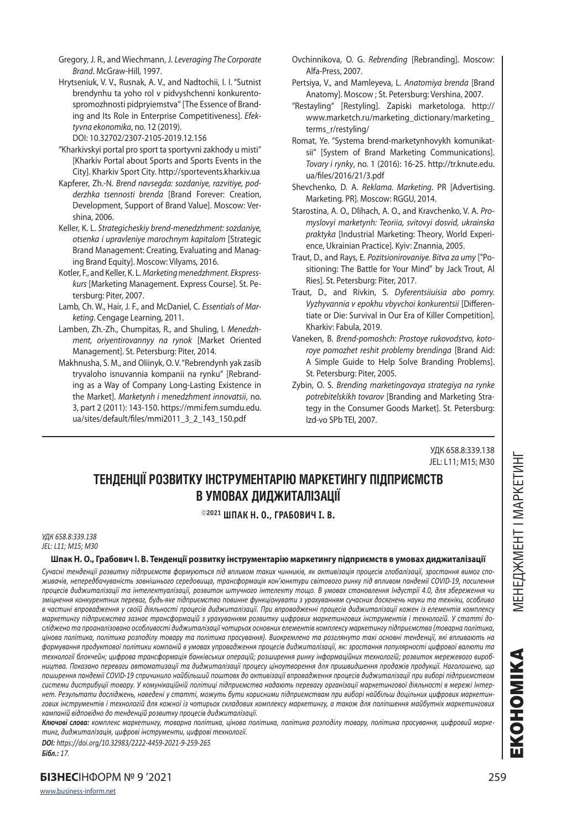Hrytseniuk, V. V., Rusnak, A. V., and Nadtochii, I. I. "Sutnist brendynhu ta yoho rol v pidvyshchenni konkurentospromozhnosti pidpryiemstva" [The Essence of Branding and Its Role in Enterprise Competitiveness]. *Efektyvna ekonomika*, no. 12 (2019).

DOI: 10.32702/2307-2105-2019.12.156

- "Kharkivskyi portal pro sport ta sportyvni zakhody u misti" [Kharkiv Portal about Sports and Sports Events in the City]. Kharkiv Sport City. http://sportevents.kharkiv.ua
- Kapferer, Zh.-N. *Brend navsegda: sozdaniye, razvitiye, podderzhka tsennosti brenda* [Brand Forever: Creation, Development, Support of Brand Value]. Moscow: Vershina, 2006.
- Keller, K. L. *Strategicheskiy brend-menedzhment: sozdaniye, otsenka i upravleniye marochnym kapitalom* [Strategic Brand Management: Creating, Evaluating and Managing Brand Equity]. Moscow: Vilyams, 2016.
- Kotler, F., and Keller, K. L. *Marketing menedzhment. Ekspresskurs* [Marketing Management. Express Course]. St. Petersburg: Piter, 2007.
- Lamb, Ch. W., Hair, J. F., and McDaniel, C. *Essentials of Marketing*. Cengage Learning, 2011.
- Lamben, Zh.-Zh., Chumpitas, R., and Shuling, I. *Menedzhment, oriyentirovannyy na rynok* [Market Oriented Management]. St. Petersburg: Piter, 2014.
- Makhnusha, S. M., and Oliinyk, O. V. "Rebrendynh yak zasib tryvaloho isnuvannia kompanii na rynku" [Rebranding as a Way of Company Long-Lasting Existence in the Market]. *Marketynh i menedzhment innovatsii*, no. 3, part 2 (2011): 143-150. https://mmi.fem.sumdu.edu. ua/sites/default/files/mmi2011\_3\_2\_143\_150.pdf
- Ovchinnikova, O. G. *Rebrending* [Rebranding]. Moscow: Alfa-Press, 2007.
- Pertsiya, V., and Mamleyeva, L. *Anatomiya brenda* [Brand Anatomy]. Moscow ; St. Petersburg: Vershina, 2007.
- "Restayling" [Restyling]. Zapiski marketologa. http:// www.marketch.ru/marketing\_dictionary/marketing\_ terms\_r/restyling/
- Romat, Ye. "Systema brend-marketynhovykh komunikatsii" [System of Brand Marketing Communications]. *Tovary i rynky*, no. 1 (2016): 16-25. http://tr.knute.edu. ua/files/2016/21/3.pdf
- Shevchenko, D. A. *Reklama. Marketing*. PR [Advertising. Marketing. PR]. Moscow: RGGU, 2014.
- Starostina, A. O., Dlihach, A. O., and Kravchenko, V. A. *Promyslovyi marketynh: Teoriia, svitovyi dosvid, ukrainska praktyka* [Industrial Marketing: Theory, World Experience, Ukrainian Practice]. Kyiv: Znannia, 2005.
- Traut, D., and Rays, E. *Pozitsionirovaniye. Bitva za umy* ["Positioning: The Battle for Your Mind" by Jack Trout, Al Ries]. St. Petersburg: Piter, 2017.
- Traut, D., and Rivkin, S. *Dyferentsiiuisia abo pomry. Vyzhyvannia v epokhu vbyvchoi konkurentsii* [Differentiate or Die: Survival in Our Era of Killer Competition]. Kharkiv: Fabula, 2019.
- Vaneken, B. *Brend-pomoshch: Prostoye rukovodstvo, kotoroye pomozhet reshit problemy brendinga* [Brand Aid: A Simple Guide to Help Solve Branding Problems]. St. Petersburg: Piter, 2005.
- Zybin, O. S. *Brending marketingovaya strategiya na rynke potrebitelskikh tovarov* [Branding and Marketing Strategy in the Consumer Goods Market]. St. Petersburg: Izd-vo SPb TEI, 2007.

УДК 658.8:339.138 JEL: L11; M15; M30

# **ТЕНДЕНЦІЇ РОЗВИТКУ ІНСТРУМЕНТАРІЮ МАРКЕТИНГУ ПІДПРИЄМСТВ В УМОВАХ ДИДЖИТАЛІЗАЦІЇ**

### **2021 ШПАК Н. О., ГРАБОВИЧ І. В.**

#### *УДК 658.8:339.138 JEL: L11; M15; M30*

#### **Шпак Н. О., Грабович І. В. Тенденції розвитку інструментарію маркетингу підприємств в умовах диджиталізації**

*Сучасні тенденції розвитку підприємств формуються під впливом таких чинників, як активізація процесів глобалізації, зростання вимог споживачів, непередбачуваність зовнішнього середовища, трансформація кон'юнктури світового ринку під впливом пандемії COVID-19, посилення процесів диджиталізації та інтелектуалізації, розвиток штучного інтелекту тощо. В умовах становлення Індустрії 4.0, для збереження чи зміцнення конкурентних переваг, будь-яке підприємство повинне функціонувати з урахуванням сучасних досягнень науки та техніки, особливо в частині впровадження у своїй діяльності процесів диджиталізації. При впровадженні процесів диджиталізації кожен із елементів комплексу*  маркетингу підприємства зазнає трансформацій з урахуванням розвитку цифрових маркетингових інструментів і технологій. У статті до*сліджено та проаналізовано особливості диджиталізації чотирьох основних елементів комплексу маркетингу підприємства (товарна політика, цінова політика, політика розподілу товару та політика просування). Виокремлено та розглянуто такі основні тенденції, які впливають на формування продуктової політики компаній в умовах упровадження процесів диджиталізації, як: зростання популярності цифрової валюти та технології блокчейн; цифрова трансформація банківських операцій; розширення ринку інформаційних технологій; розвиток мережевого виробництва. Показано переваги автоматизації та диджиталізації процесу ціноутворення для пришвидшення продажів продукції. Наголошено, що поширення пандемії COVID-19 спричинило найбільший поштовх до активізації впровадження процесів диджиталізації при виборі підприємством системи дистрибуції товару. У комунікаційній політиці підприємства надають перевагу організації маркетингової діяльності в мережі Інтернет. Результати досліджень, наведені у статті, можуть бути корисними підприємствам при виборі найбільш доцільних цифрових маркетингових інструментів і технологій для кожної із чотирьох складових комплексу маркетингу, а також для поліпшення майбутніх маркетингових кампаній відповідно до тенденцій розвитку процесів диджиталізації.*

*Ключові слова: комплекс маркетингу, товарна політика, цінова політика, політика розподілу товару, політика просування, цифровий маркетинг, диджиталізація, цифрові інструменти, цифрові технології.*

*DOI: https://doi.org/10.32983/2222-4459-2021-9-259-265 Бібл.: 17.*

**БІЗНЕС**ІНФОРМ № 9 '2021 259

EKOHOMIKA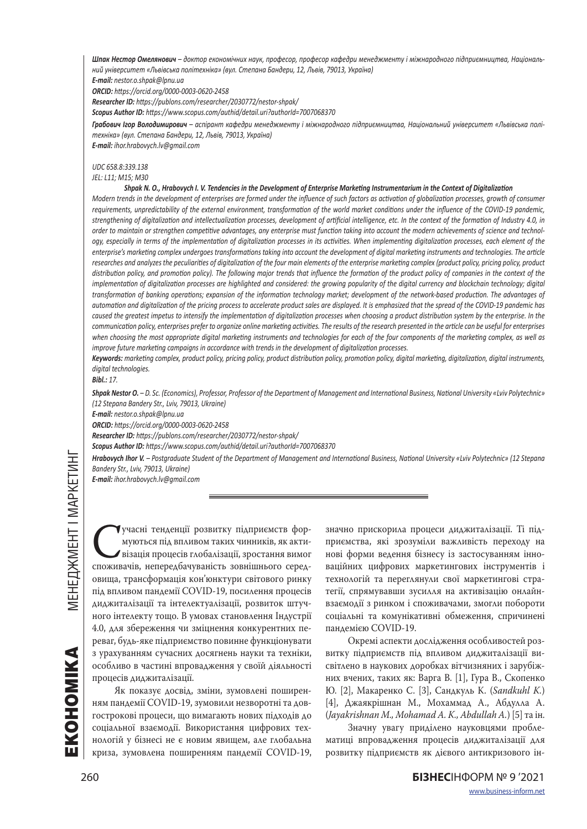*Шпак Нестор Омелянович – доктор економічних наук, професор, професор кафедри менеджменту і міжнародного підприємництва, Національний університет «Львівська політехніка» (вул. Степана Бандери, 12, Львів, 79013, Україна)*

*E-mail: nestor.o.shpak@lpnu.ua*

*ORCID: https://orcid.org/0000-0003-0620-2458*

*Researcher ID: https://publons.com/researcher/2030772/nestor-shpak/*

*Scopus Author ID: https://www.scopus.com/authid/detail.uri?authorId=7007068370*

*Грабович Ігор Володимирович – аспірант кафедри менеджменту і міжнародного підприємництва, Національний університет «Львівська політехніка» (вул. Степана Бандери, 12, Львів, 79013, Україна)*

*E-mail: ihor.hrabovych.lv@gmail.com*

## *UDC 658.8:339.138*

### *JEL: L11; M15; M30*

#### *Shpak N. O., Hrabovych I. V. Tendencies in the Development of Enterprise Marketing Instrumentarium in the Context of Digitalization*

*Modern trends in the development of enterprises are formed under the influence of such factors as activation of globalization processes, growth of consumer requirements, unpredictability of the external environment, transformation of the world market conditions under the influence of the COVID-19 pandemic, strengthening of digitalization and intellectualization processes, development of artificial intelligence, etc. In the context of the formation of Industry 4.0, in order to maintain or strengthen competitive advantages, any enterprise must function taking into account the modern achievements of science and technology, especially in terms of the implementation of digitalization processes in its activities. When implementing digitalization processes, each element of the enterprise's marketing complex undergoes transformations taking into account the development of digital marketing instruments and technologies. The article*  researches and analyzes the peculiarities of digitalization of the four main elements of the enterprise marketing complex (product policy, pricing policy, product distribution policy, and promotion policy). The following major trends that influence the formation of the product policy of companies in the context of the *implementation of digitalization processes are highlighted and considered: the growing popularity of the digital currency and blockchain technology; digital transformation of banking operations; expansion of the information technology market; development of the network-based production. The advantages of automation and digitalization of the pricing process to accelerate product sales are displayed. It is emphasized that the spread of the COVID-19 pandemic has caused the greatest impetus to intensify the implementation of digitalization processes when choosing a product distribution system by the enterprise. In the communication policy, enterprises prefer to organize online marketing activities. The results of the research presented in the article can be useful for enterprises when choosing the most appropriate digital marketing instruments and technologies for each of the four components of the marketing complex, as well as improve future marketing campaigns in accordance with trends in the development of digitalization processes.*

*Keywords: marketing complex, product policy, pricing policy, product distribution policy, promotion policy, digital marketing, digitalization, digital instruments, digital technologies.*

*Bibl.: 17.*

*Shpak Nestor O. – D. Sc. (Economics), Professor, Professor of the Department of Management and International Business, National University «Lviv Polytechnic» (12 Stepana Bandery Str., Lvіv, 79013, Ukraine)*

*E-mail: nestor.o.shpak@lpnu.ua*

*ORCID: https://orcid.org/0000-0003-0620-2458*

*Researcher ID: https://publons.com/researcher/2030772/nestor-shpak/*

*Scopus Author ID: https://www.scopus.com/authid/detail.uri?authorId=7007068370*

*Hrabovych Ihor V. – Postgraduate Student of the Department of Management and International Business, National University «Lviv Polytechnic» (12 Stepana Bandery Str., Lvіv, 79013, Ukraine)*

*E-mail: ihor.hrabovych.lv@gmail.com*

KOHOMIKA

Учасні тенденції розвитку підприємств фор-<br>Муються під впливом таких чинників, як акти-<br>Візація процесів глобалізації, зростання вимог<br>споживачів, непередбачуваність зовнішнього середмуються під впливом таких чинників, як активізація процесів глобалізації, зростання вимог споживачів, непередбачуваність зовнішнього середовища, трансформація кон'юнктури світового ринку під впливом пандемії COVID-19, посилення процесів диджиталізації та інтелектуалізації, розвиток штучного інтелекту тощо. В умовах становлення Індустрії 4.0, для збереження чи зміцнення конкурентних переваг, будь-яке підприємство повинне функціонувати з урахуванням сучасних досягнень науки та техніки, особливо в частині впровадження у своїй діяльності процесів диджиталізації.

Як показує досвід, зміни, зумовлені поширенням пандемії COVID-19, зумовили незворотні та довгострокові процеси, що вимагають нових підходів до соціальної взаємодії. Використання цифрових технологій у бізнесі не є новим явищем, але глобальна криза, зумовлена поширенням пандемії COVID-19,

значно прискорила процеси диджиталізації. Ті підприємства, які зрозуміли важливість переходу на нові форми ведення бізнесу із застосуванням інноваційних цифрових маркетингових інструментів і технологій та переглянули свої маркетингові стратегії, спрямувавши зусилля на активізацію онлайнвзаємодії з ринком і споживачами, змогли побороти соціальні та комунікативні обмеження, спричинені пандемією COVID-19.

Окремі аспекти дослідження особливостей розвитку підприємств під впливом диджиталізації висвітлено в наукових доробках вітчизняних і зарубіжних вчених, таких як: Варга В. [1], Гура В., Скопенко Ю. [2], Макаренко С. [3], Сандкуль К. (*Sandkuhl K.*) [4], Джаякрішнан М., Мохаммад А., Абдулла А. (*Jayakrishnan M., Mohamad A. K., Abdullah A.*) [5] та ін.

Значну увагу приділено науковцями проблематиці впровадження процесів диджиталізації для розвитку підприємств як дієвого антикризового ін-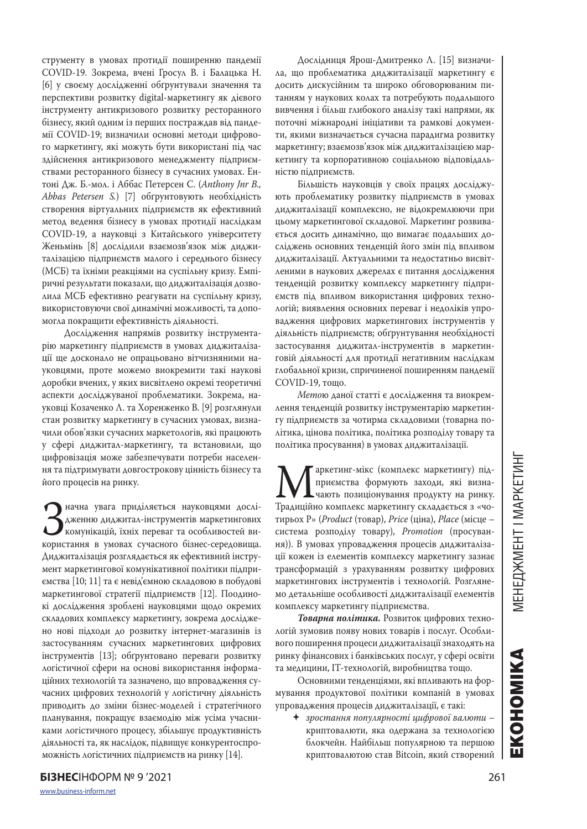струменту в умовах протидії поширенню пандемії COVID-19. Зокрема, вчені Гросул В. і Балацька Н. [6] у своєму дослідженні обґрунтували значення та перспективи розвитку digital-маркетингу як дієвого інструменту антикризового розвитку ресторанного бізнесу, який одним із перших постраждав від пандемії COVID-19; визначили основні методи цифрового маркетингу, які можуть бути використані під час здійснення антикризового менеджменту підприємствами ресторанного бізнесу в сучасних умовах. Ентоні Дж. Б.-мол. і Аббас Петерсен С. (*Anthony Jnr B., Abbas Petersen S.*) [7] обґрунтовують необхідність створення віртуальних підприємств як ефективний метод ведення бізнесу в умовах протидії наслідкам COVID-19, а науковці з Китайського університету Женьмінь [8] дослідили взаємозв'язок між диджиталізацією підприємств малого і середнього бізнесу (МСБ) та їхніми реакціями на суспільну кризу. Емпіричні результати показали, що диджиталізація дозволила МСБ ефективно реагувати на суспільну кризу, використовуючи свої динамічні можливості, та допомогла покращити ефективність діяльності.

Дослідження напрямів розвитку інструментарію маркетингу підприємств в умовах диджиталізації ще досконало не опрацьовано вітчизняними науковцями, проте можемо виокремити такі наукові доробки вчених, у яких висвітлено окремі теоретичні аспекти досліджуваної проблематики. Зокрема, науковці Козаченко Л. та Хоренженко В. [9] розглянули стан розвитку маркетингу в сучасних умовах, визначили обов'язки сучасних маркетологів, які працюють у сфері диджитал-маркетингу, та встановили, що цифровізація може забезпечувати потреби населення та підтримувати довгострокову цінність бізнесу та його процесів на ринку.

Значна увага приділяється науковцями дослі-користання в умовах сучасного бізнес-середовища. дженню диджитал-інструментів маркетингових комунікацій, їхніх переваг та особливостей ви-Диджиталізація розглядається як ефективний інструмент маркетингової комунікативної політики підприємства [10; 11] та є невід'ємною складовою в побудові маркетингової стратегії підприємств [12]. Поодинокі дослідження зроблені науковцями щодо окремих складових комплексу маркетингу, зокрема досліджено нові підходи до розвитку інтернет-магазинів із застосуванням сучасних маркетингових цифрових інструментів [13]; обґрунтовано переваги розвитку логістичної сфери на основі використання інформаційних технологій та зазначено, що впровадження сучасних цифрових технологій у логістичну діяльність приводить до зміни бізнес-моделей і стратегічного планування, покращує взаємодію між усіма учасниками логістичного процесу, збільшує продуктивність діяльності та, як наслідок, підвищує конкурентоспроможність логістичних підприємств на ринку [14].

Дослідниця Ярош-Дмитренко Л. [15] визначила, що проблематика диджиталізації маркетингу є досить дискусійним та широко обговорюваним питанням у наукових колах та потребують подальшого вивчення і більш глибокого аналізу такі напрями, як поточні міжнародні ініціативи та рамкові документи, якими визначається сучасна парадигма розвитку маркетингу; взаємозв'язок між диджиталізацією маркетингу та корпоративною соціальною відповідальністю підприємств.

Більшість науковців у своїх працях досліджують проблематику розвитку підприємств в умовах диджиталізації комплексно, не відокремлюючи при цьому маркетингової складової. Маркетинг розвивається досить динамічно, що вимагає подальших досліджень основних тенденцій його змін під впливом диджиталізації. Актуальними та недостатньо висвітленими в наукових джерелах є питання дослідження тенденцій розвитку комплексу маркетингу підприємств під впливом використання цифрових технологій; виявлення основних переваг і недоліків упровадження цифрових маркетингових інструментів у діяльність підприємств; обґрунтування необхідності застосування диджитал-інструментів в маркетинговій діяльності для протидії негативним наслідкам глобальної кризи, спричиненої поширенням пандемії COVID-19, тощо.

*Мето*ю даної статті є дослідження та виокремлення тенденцій розвитку інструментарію маркетингу підприємств за чотирма складовими (товарна політика, цінова політика, політика розподілу товару та політика просування) в умовах диджиталізації.

**Маркетинг-мікс (комплекс маркетингу) під-**<br>Приємства формують заходи, які визна-<br>Традиційно комплекс маркетингу складається з «чоприємства формують заходи, які визначають позиціонування продукту на ринку. тирьох P» (*Product* (товар), *Price* (ціна), *Place* (місце – система розподілу товару), *Promotion* (просування)). В умовах упровадження процесів диджиталізації кожен із елементів комплексу маркетингу зазнає трансформацій з урахуванням розвитку цифрових маркетингових інструментів і технологій. Розглянемо детальніше особливості диджиталізації елементів комплексу маркетингу підприємства.

*Товарна політика.* Розвиток цифрових технологій зумовив появу нових товарів і послуг. Особливого поширення процеси диджиталізації знаходять на ринку фінансових і банківських послуг, у сфері освіти та медицини, ІТ-технологій, виробництва тощо.

Основними тенденціями, які впливають на формування продуктової політики компаній в умовах упровадження процесів диджиталізації, є такі:

 *зростання популярності цифрової валюти* – криптовалюти, яка одержана за технологією блокчейн. Найбільш популярною та першою криптовалютою став Bitcoin, який створений EKOHOMIKA MEHEДЖМЕНТ І МАРКЕТИНГ

EKOHOMIKA

MEHEДЖМЕНТ I MAPKETИHI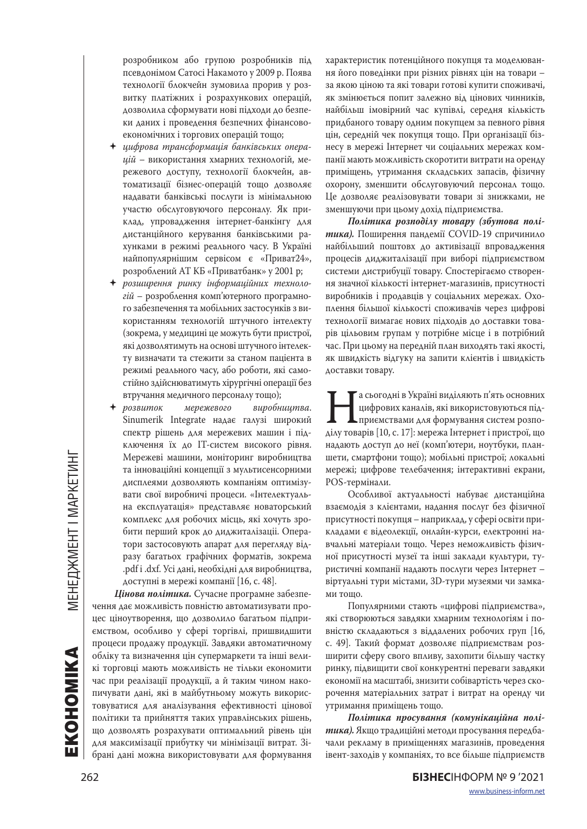розробником або групою розробників під псевдонімом Сатосі Накамото у 2009 р. Поява технології блокчейн зумовила прорив у розвитку платіжних і розрахункових операцій, дозволила сформувати нові підходи до безпеки даних і проведення безпечних фінансовоекономічних і торгових операцій тощо;

- *цифрова трансформація банківських операцій* – використання хмарних технологій, мережевого доступу, технології блокчейн, автоматизації бізнес-операцій тощо дозволяє надавати банківські послуги із мінімальною участю обслуговуючого персоналу. Як приклад, упровадження інтернет-банкінгу для дистанційного керування банківськими рахунками в режимі реального часу. В Україні найпопулярнішим сервісом є «Приват24», розроблений АТ КБ «Приватбанк» у 2001 р;
- *розширення ринку інформаційних технологій* – розроблення комп'ютерного програмного забезпечення та мобільних застосунків з використанням технологій штучного інтелекту (зокрема, у медицині це можуть бути пристрої, які дозволятимуть на основі штучного інтелекту визначати та стежити за станом пацієнта в режимі реального часу, або роботи, які самостійно здійснюватимуть хірургічні операції без втручання медичного персоналу тощо);
- *розвиток мережевого виробництва*. Sinumerik Integrate надає галузі широкий спектр рішень для мережевих машин і підключення їх до IТ-систем високого рівня. Мережеві машини, моніторинг виробництва та інноваційні концепції з мультисенсорними дисплеями дозволяють компаніям оптимізувати свої виробничі процеси. «Інтелектуальна експлуатація» представляє новаторський комплекс для робочих місць, які хочуть зробити перший крок до диджиталізаціі. Оператори застосовують апарат для перегляду відразу багатьох графічних форматів, зокрема .pdf і .dxf. Усі дані, необхідні для виробництва, доступні в мережі компанії [16, с. 48].

*Цінова політика.* Сучасне програмне забезпечення дає можливість повністю автоматизувати процес ціноутворення, що дозволило багатьом підприємством, особливо у сфері торгівлі, пришвидшити процеси продажу продукції. Завдяки автоматичному обліку та визначення цін супермаркети та інші великі торговці мають можливість не тільки економити час при реалізації продукції, а й таким чином накопичувати дані, які в майбутньому можуть використовуватися для аналізування ефективності цінової політики та прийняття таких управлінських рішень, що дозволять розрахувати оптимальний рівень цін для максимізації прибутку чи мінімізації витрат. Зібрані дані можна використовувати для формування

характеристик потенційного покупця та моделювання його поведінки при різних рівнях цін на товари – за якою ціною та які товари готові купити споживачі, як змінюється попит залежно від цінових чинників, найбільш імовірний час купівлі, середня кількість придбаного товару одним покупцем за певного рівня цін, середній чек покупця тощо. При організації бізнесу в мережі Інтернет чи соціальних мережах компанії мають можливість скоротити витрати на оренду приміщень, утримання складських запасів, фізичну охорону, зменшити обслуговуючий персонал тощо. Це дозволяє реалізовувати товари зі знижками, не зменшуючи при цьому дохід підприємства.

*Політика розподілу товару (збутова політика).* Поширення пандемії COVID-19 спричинило найбільший поштовх до активізації впровадження процесів диджиталізації при виборі підприємством системи дистрибуції товару. Спостерігаємо створення значної кількості інтернет-магазинів, присутності виробників і продавців у соціальних мережах. Охоплення більшої кількості споживачів через цифрові технології вимагає нових підходів до доставки товарів цільовим групам у потрібне місце і в потрібний час. При цьому на передній план виходять такі якості, як швидкість відгуку на запити клієнтів і швидкість доставки товару.

и Па сьогодні в Україні виділяють п'ять основних дифрових каналів, які використовуються під-приємствами для формування систем розподілу товарів [10, с. 17]: мережа Інтернет і пристрої, що цифрових каналів, які використовуються підприємствами для формування систем розпонадають доступ до неї (комп'ютери, ноутбуки, планшети, смартфони тощо); мобільні пристрої; локальні мережі; цифрове телебачення; інтерактивні екрани, POS-термінали.

Особливої актуальності набуває дистанційна взаємодія з клієнтами, надання послуг без фізичної присутності покупця – наприклад, у сфері освіти прикладами є відеолекції, онлайн-курси, електронні навчальні матеріали тощо. Через неможливість фізичної присутності музеї та інші заклади культури, туристичні компанії надають послуги через Інтернет – віртуальні тури містами, 3D-тури музеями чи замками тощо.

Популярними стають «цифрові підприємства», які створюються завдяки хмарним технологіям і повністю складаються з віддалених робочих груп [16, с. 49]. Такий формат дозволяє підприємствам розширити сферу свого впливу, захопити більшу частку ринку, підвищити свої конкурентні переваги завдяки економії на масштабі, знизити собівартість через скорочення матеріальних затрат і витрат на оренду чи утримання приміщень тощо.

*Політика просування (комунікаційна політика).* Якщо традиційні методи просування передбачали рекламу в приміщеннях магазинів, проведення івент-заходів у компаніях, то все більше підприємств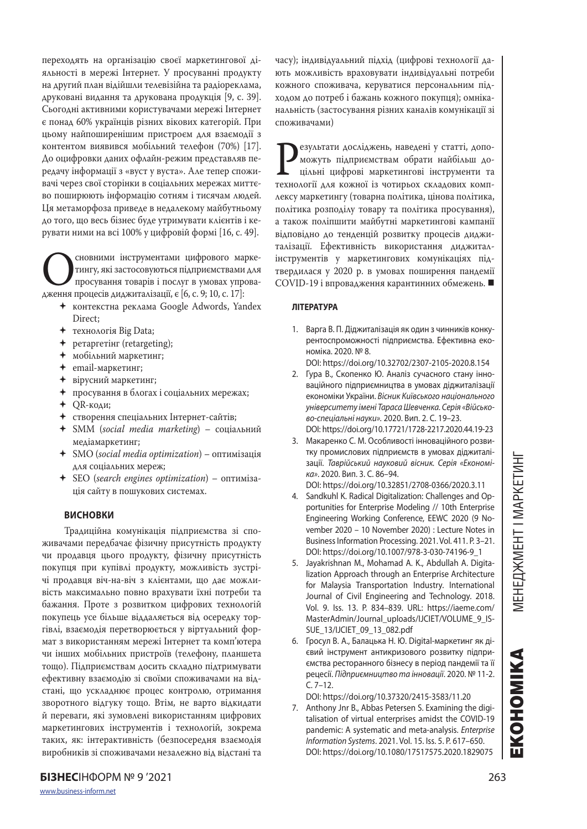переходять на організацію своєї маркетингової діяльності в мережі Інтернет. У просуванні продукту на другий план відійшли телевізійна та радіореклама, друковані видання та друкована продукція [9, с. 39]. Сьогодні активними користувачами мережі Інтернет є понад 60% українців різних вікових категорій. При цьому найпоширенішим пристроєм для взаємодії з контентом виявився мобільний телефон (70%) [17]. До оцифровки даних офлайн-режим представляв передачу інформації з «вуст у вуста». Але тепер споживачі через свої сторінки в соціальних мережах миттєво поширюють інформацію сотням і тисячам людей. Ця метаморфоза приведе в недалекому майбутньому до того, що весь бізнес буде утримувати клієнтів і керувати ними на всі 100% у цифровій формі [16, с. 49].

Основними інструментами цифрового марке-<br>Пингу, які застосовуються підприємствами для<br>дження процесів диджиталізації, є [6, с. 9; 10, с. 17]: тингу, які застосовуються підприємствами для просування товарів і послуг в умовах упрова-

- контекстна реклама Google Adwords, Yandex Direct;
- технологія Big Data;
- ретаргетінг (retargeting);
- мобільний маркетинг;
- email-маркетинг;
- вірусний маркетинг;
- просування в блогах і соціальних мережах;
- QR-коди;
- створення спеціальних Інтернет-сайтів;
- SMM (*social media marketing*) соціальний медіамаркетинг;
- SMO (*social media optimization*) оптимізація для соціальних мереж;
- SEO (*search engines optimization*) оптимізація сайту в пошукових системах.

### **ВИСНОВКИ**

Традиційна комунікація підприємства зі споживачами передбачає фізичну присутність продукту чи продавця цього продукту, фізичну присутність покупця при купівлі продукту, можливість зустрічі продавця віч-на-віч з клієнтами, що дає можливість максимально повно врахувати їхні потреби та бажання. Проте з розвитком цифрових технологій покупець усе більше віддаляється від осередку торгівлі, взаємодія перетворюється у віртуальний формат з використанням мережі Інтернет та комп'ютера чи інших мобільних пристроїв (телефону, планшета тощо). Підприємствам досить складно підтримувати ефективну взаємодію зі своїми споживачами на відстані, що ускладнює процес контролю, отримання зворотного відгуку тощо. Втім, не варто відкидати й переваги, які зумовлені використанням цифрових маркетингових інструментів і технологій, зокрема таких, як: інтерактивність (безпосередня взаємодія виробників зі споживачами незалежно від відстані та

часу); індивідуальний підхід (цифрові технології дають можливість враховувати індивідуальні потреби кожного споживача, керуватися персональним підходом до потреб і бажань кожного покупця); омніканальність (застосування різних каналів комунікації зі споживачами)

**Результати досліджень, наведені у статті, допо-**<br>пожуть підприємствам обрати найбільш до-<br>пільні цифрові маркетингові інструменти та<br>технології для кожної із чотирьох складових компможуть підприємствам обрати найбільш доцільні цифрові маркетингові інструменти та лексу маркетингу (товарна політика, цінова політика, політика розподілу товару та політика просування), а також поліпшити майбутні маркетингові кампанії відповідно до тенденцій розвитку процесів диджиталізації. Ефективність використання диджиталінструментів у маркетингових комунікаціях підтвердилася у 2020 р. в умовах поширення пандемії COVID-19 і впровадження карантинних обмежень.

### **ЛІТЕРАТУРА**

- 1. Варга В. П. Діджиталізація як один з чинників конкурентоспроможності підприємства. Ефективна економіка. 2020. № 8. DOI: https://doi.org/10.32702/2307-2105-2020.8.154
- 2. Гура В., Скопенко Ю. Аналіз сучасного стану інноваційного підприємництва в умовах діджиталізації економіки України. *Вісник Київського національного університету імені Тараса Шевченка. Серія «Військово-спеціальні науки».* 2020. Вип. 2. С. 19–23. DOI: https://doi.org/10.17721/1728-2217.2020.44.19-23
- 3. Макаренко С. М. Особливості інноваційного розви-
- тку промислових підприємств в умовах діджиталізації. *Таврійський науковий вісник. Серія «Економіка»*. 2020. Вип. 3. С. 86–94.
- DOI: https://doi.org/10.32851/2708-0366/2020.3.11 4. Sandkuhl K. Radical Digitalization: Challenges and Opportunities for Enterprise Modeling // 10th Enterprise Engineering Working Conference, EEWC 2020 (9 November 2020 – 10 November 2020) : Lecture Notes in Business Information Processing. 2021. Vol. 411. P. 3–21. DOI: https://doi.org/10.1007/978-3-030-74196-9\_1
- 5. Jayakrishnan M., Mohamad A. K., Abdullah A. Digitalization Approach through an Enterprise Architecture for Malaysia Transportation Industry. International Journal of Civil Engineering and Technology. 2018. Vol. 9. Iss. 13. P. 834–839. URL: https://iaeme.com/ MasterAdmin/Journal\_uploads/IJCIET/VOLUME\_9\_IS-SUE\_13/IJCIET\_09\_13\_082.pdf
- 6. Гросул В. А., Балацька Н. Ю. Digital-маркетинг як дієвий інструмент антикризового розвитку підприємства ресторанного бізнесу в період пандемії та її рецесії. *Підприємництво та інновації*. 2020. № 11-2. С. 7–12.
- DOI: https://doi.org/10.37320/2415-3583/11.20
- 7. Anthony Jnr B., Abbas Petersen S. Examining the digitalisation of virtual enterprises amidst the COVID-19 pandemic: A systematic and meta-analysis. *Enterprise Information Systems*. 2021. Vol. 15. Iss. 5. P. 617–650. DOI: https://doi.org/10.1080/17517575.2020.1829075

EKOHOMIKA

**БІЗНЕС**ІНФОРМ № 9 '2021 263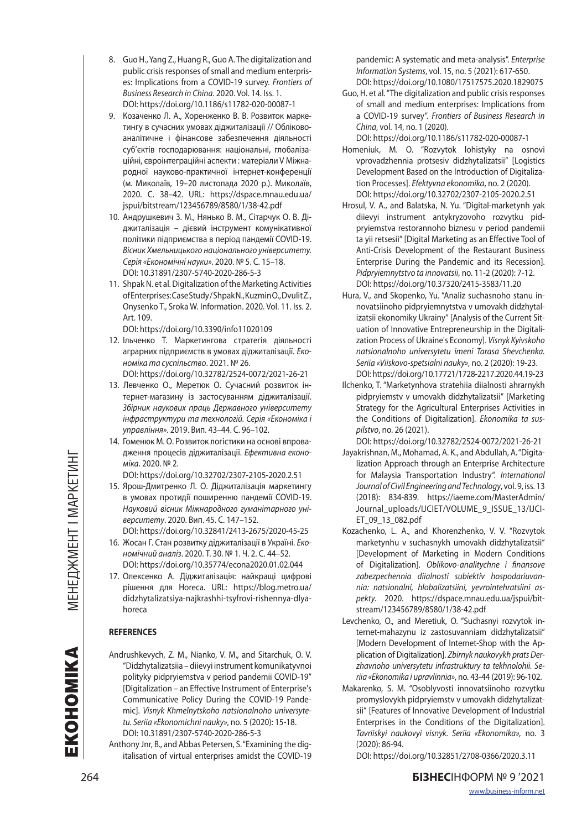- 8. Guo H., Yang Z., Huang R., Guo A. The digitalization and public crisis responses of small and medium enterprises: Implications from a COVID-19 survey. *Frontiers of Business Research in China*. 2020. Vol. 14. Iss. 1. DOI: https://doi.org/10.1186/s11782-020-00087-1
- 9. Козаченко Л. А., Хоренженко В. В. Розвиток маркетингу в сучасних умовах діджиталізації // Обліковоаналітичне і фінансове забезпечення діяльності суб'єктів господарювання: національні, глобалізаційні, євроінтеграційні аспекти : матеріали V Міжнародної науково-практичної інтернет-конференції (м. Миколаїв, 19–20 листопада 2020 р.). Миколаїв, 2020. С. 38–42. URL: https://dspace.mnau.edu.ua/ jspui/bitstream/123456789/8580/1/38-42.pdf
- 10. Андрушкевич З. М., Нянько В. М., Сітарчук О. В. Діджиталізація – дієвий інструмент комунікативної політики підприємства в період пандемії COVID-19. *Вісник Хмельницького національного університету. Серія «Економічні науки»*. 2020. № 5. С. 15–18. DOI: 10.31891/2307-5740-2020-286-5-3
- 11. Shpak N. et al. Digitalization of the Marketing Activities of Enterprises: Case Study / Shpak N., Kuzmin O., Dvulit Z., Onysenko T., Sroka W. Information. 2020. Vol. 11. Iss. 2. Art. 109.
- DOI: https://doi.org/10.3390/info11020109 12. Ільченко Т. Маркетингова стратегія діяльності аграрних підприємств в умовах діджиталізації. *Економіка та суспільство*. 2021. № 26.
	- DOI: https://doi.org/10.32782/2524-0072/2021-26-21
- 13. Левченко О., Меретюк О. Сучасний розвиток інтернет-магазину із застосуванням діджиталізації. *Збірник наукових праць Державного університету інфраструктури та технологій. Серія «Економіка і управління»*. 2019. Вип. 43–44. С. 96–102.
- 14. Гоменюк М. О. Розвиток логістики на основі впровадження процесів діджиталізації. *Ефективна економіка*. 2020. № 2.

DOI: https://doi.org/10.32702/2307-2105-2020.2.51

- 15. Ярош-Дмитренко Л. О. Діджиталізація маркетингу в умовах протидії поширенню пандемії COVID-19. *Науковий вісник Міжнародного гуманітарного університету*. 2020. Вип. 45. С. 147–152.
- DOI: https://doi.org/10.32841/2413-2675/2020-45-25 16. Жосан Г. Стан розвитку діджиталізації в Україні. *Економічний аналіз*. 2020. Т. 30. № 1. Ч. 2. С. 44–52. DOI: https://doi.org/10.35774/econa2020.01.02.044
- 17. Олексенко А. Діджиталізація: найкращі цифрові рішення для Horeca. URL: https://blog.metro.ua/ didzhytalizatsiya-najkrashhi-tsyfrovi-rishennya-dlyahoreca

### **REFERENCES**

- Andrushkevych, Z. M., Nianko, V. M., and Sitarchuk, O. V. "Didzhytalizatsiia – diievyi instrument komunikatyvnoi polityky pidpryiemstva v period pandemii COVID-19" [Digitalization – an Effective Instrument of Enterprise's Communicative Policy During the COVID-19 Pandemic]. *Visnyk Khmelnytskoho natsionalnoho universytetu. Seriia «Ekonomichni nauky»*, no. 5 (2020): 15-18. DOI: 10.31891/2307-5740-2020-286-5-3
- Anthony Jnr, B., and Abbas Petersen, S. "Examining the digitalisation of virtual enterprises amidst the COVID-19

pandemic: A systematic and meta-analysis". *Enterprise Information Systems*, vol. 15, no. 5 (2021): 617-650. DOI: https://doi.org/10.1080/17517575.2020.1829075

- Guo, H. et al. "The digitalization and public crisis responses of small and medium enterprises: Implications from a COVID-19 survey". *Frontiers of Business Research in China*, vol. 14, no. 1 (2020).
- DOI: https://doi.org/10.1186/s11782-020-00087-1 Homeniuk, M. O. "Rozvytok lohistyky na osnovi vprovadzhennia protsesiv didzhytalizatsii" [Logistics Development Based on the Introduction of Digitalization Processes]. *Efektyvna ekonomika*, no. 2 (2020). DOI: https://doi.org/10.32702/2307-2105-2020.2.51
- Hrosul, V. A., and Balatska, N. Yu. "Digital-marketynh yak diievyi instrument antykryzovoho rozvytku pidpryiemstva restorannoho biznesu v period pandemii ta yii retsesii" [Digital Marketing as an Effective Tool of Anti-Crisis Development of the Restaurant Business Enterprise During the Pandemic and its Recession]. *Pidpryiemnytstvo ta innovatsii*, no. 11-2 (2020): 7-12. DOI: https://doi.org/10.37320/2415-3583/11.20
- Hura, V., and Skopenko, Yu. "Analiz suchasnoho stanu innovatsiinoho pidpryiemnytstva v umovakh didzhytalizatsii ekonomiky Ukrainy" [Analysis of the Current Situation of Innovative Entrepreneurship in the Digitalization Process of Ukraine's Economy]. *Visnyk Kyivskoho natsionalnoho universytetu imeni Tarasa Shevchenka. Seriia «Viiskovo-spetsialni nauky»*, no. 2 (2020): 19-23. DOI: https://doi.org/10.17721/1728-2217.2020.44.19-23
- Ilchenko, T. "Marketynhova stratehiia diialnosti ahrarnykh pidpryiemstv v umovakh didzhytalizatsii" [Marketing Strategy for the Agricultural Enterprises Activities in the Conditions of Digitalization]. *Ekonomika ta suspilstvo*, no. 26 (2021).

DOI: https://doi.org/10.32782/2524-0072/2021-26-21

- Jayakrishnan, M., Mohamad, A. K., and Abdullah, A. "Digitalization Approach through an Enterprise Architecture for Malaysia Transportation Industry". *International Journal of Civil Engineering and Technology*, vol. 9, iss. 13 (2018): 834-839. https://iaeme.com/MasterAdmin/ Journal\_uploads/IJCIET/VOLUME\_9\_ISSUE\_13/IJCI-ET\_09\_13\_082.pdf
- Kozachenko, L. A., and Khorenzhenko, V. V. "Rozvytok marketynhu v suchasnykh umovakh didzhytalizatsii" [Development of Marketing in Modern Conditions of Digitalization]. *Oblikovo-analitychne i finansove zabezpechennia diialnosti subiektiv hospodariuvannia: natsionalni, hlobalizatsiini, yevrointehratsiini aspekty*. 2020. https://dspace.mnau.edu.ua/jspui/bitstream/123456789/8580/1/38-42.pdf
- Levchenko, O., and Meretiuk, O. "Suchasnyi rozvytok internet-mahazynu iz zastosuvanniam didzhytalizatsii" [Modern Development of Internet-Shop with the Application of Digitalization]. *Zbirnyk naukovykh prats Derzhavnoho universytetu infrastruktury ta tekhnolohii. Seriia «Ekonomika i upravlinnia»*, no. 43-44 (2019): 96-102.
- Makarenko, S. M. "Osoblyvosti innovatsiinoho rozvytku promyslovykh pidpryiemstv v umovakh didzhytalizatsii" [Features of Innovative Development of Industrial Enterprises in the Conditions of the Digitalization]. *Tavriiskyi naukovyi visnyk. Seriia «Ekonomika»,* no. 3 (2020): 86-94.

DOI: https://doi.org/10.32851/2708-0366/2020.3.11